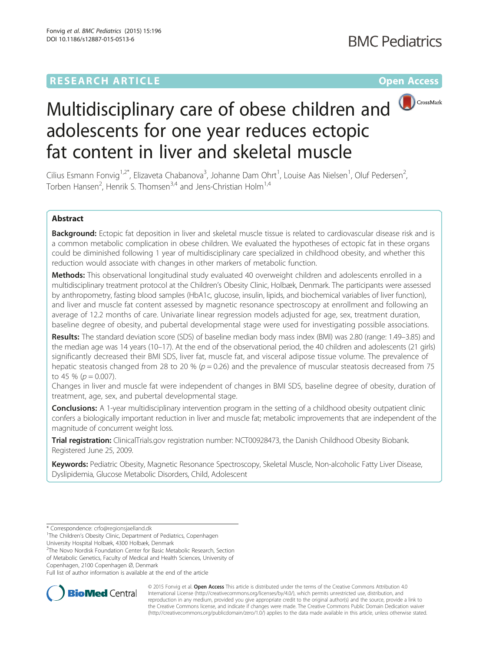## **RESEARCH ARTICLE Example 2014 12:25 Open Access**



# Multidisciplinary care of obese children and adolescents for one year reduces ectopic fat content in liver and skeletal muscle

Cilius Esmann Fonvig<sup>1,2\*</sup>, Elizaveta Chabanova<sup>3</sup>, Johanne Dam Ohrt<sup>1</sup>, Louise Aas Nielsen<sup>1</sup>, Oluf Pedersen<sup>2</sup> , Torben Hansen<sup>2</sup>, Henrik S. Thomsen<sup>3,4</sup> and Jens-Christian Holm<sup>1,4</sup>

#### Abstract

**Background:** Ectopic fat deposition in liver and skeletal muscle tissue is related to cardiovascular disease risk and is a common metabolic complication in obese children. We evaluated the hypotheses of ectopic fat in these organs could be diminished following 1 year of multidisciplinary care specialized in childhood obesity, and whether this reduction would associate with changes in other markers of metabolic function.

Methods: This observational longitudinal study evaluated 40 overweight children and adolescents enrolled in a multidisciplinary treatment protocol at the Children's Obesity Clinic, Holbæk, Denmark. The participants were assessed by anthropometry, fasting blood samples (HbA1c, glucose, insulin, lipids, and biochemical variables of liver function), and liver and muscle fat content assessed by magnetic resonance spectroscopy at enrollment and following an average of 12.2 months of care. Univariate linear regression models adjusted for age, sex, treatment duration, baseline degree of obesity, and pubertal developmental stage were used for investigating possible associations.

Results: The standard deviation score (SDS) of baseline median body mass index (BMI) was 2.80 (range: 1.49–3.85) and the median age was 14 years (10–17). At the end of the observational period, the 40 children and adolescents (21 girls) significantly decreased their BMI SDS, liver fat, muscle fat, and visceral adipose tissue volume. The prevalence of hepatic steatosis changed from 28 to 20 % ( $p = 0.26$ ) and the prevalence of muscular steatosis decreased from 75 to 45 % ( $p = 0.007$ ).

Changes in liver and muscle fat were independent of changes in BMI SDS, baseline degree of obesity, duration of treatment, age, sex, and pubertal developmental stage.

**Conclusions:** A 1-year multidisciplinary intervention program in the setting of a childhood obesity outpatient clinic confers a biologically important reduction in liver and muscle fat; metabolic improvements that are independent of the magnitude of concurrent weight loss.

Trial registration: ClinicalTrials.gov registration number: [NCT00928473](https://clinicaltrials.gov/ct2/show/NCT00928473?term=NCT00928473&rank=1), the Danish Childhood Obesity Biobank. Registered June 25, 2009.

Keywords: Pediatric Obesity, Magnetic Resonance Spectroscopy, Skeletal Muscle, Non-alcoholic Fatty Liver Disease, Dyslipidemia, Glucose Metabolic Disorders, Child, Adolescent

<sup>2</sup>The Novo Nordisk Foundation Center for Basic Metabolic Research, Section of Metabolic Genetics, Faculty of Medical and Health Sciences, University of

Copenhagen, 2100 Copenhagen Ø, Denmark

Full list of author information is available at the end of the article



© 2015 Fonvig et al. Open Access This article is distributed under the terms of the Creative Commons Attribution 4.0 International License [\(http://creativecommons.org/licenses/by/4.0/](http://creativecommons.org/licenses/by/4.0/)), which permits unrestricted use, distribution, and reproduction in any medium, provided you give appropriate credit to the original author(s) and the source, provide a link to the Creative Commons license, and indicate if changes were made. The Creative Commons Public Domain Dedication waiver [\(http://creativecommons.org/publicdomain/zero/1.0/](http://creativecommons.org/publicdomain/zero/1.0/)) applies to the data made available in this article, unless otherwise stated.

<sup>\*</sup> Correspondence: [crfo@regionsjaelland.dk](mailto:crfo@regionsjaelland.dk) <sup>1</sup>

<sup>&</sup>lt;sup>1</sup>The Children's Obesity Clinic, Department of Pediatrics, Copenhagen

University Hospital Holbæk, 4300 Holbæk, Denmark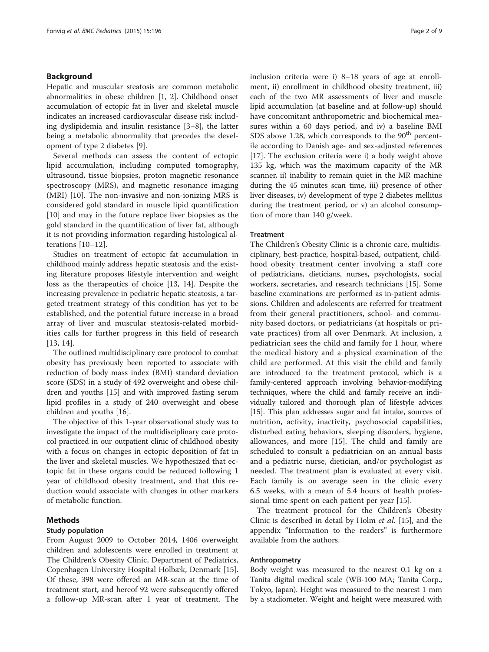#### Background

Hepatic and muscular steatosis are common metabolic abnormalities in obese children [\[1, 2](#page-7-0)]. Childhood onset accumulation of ectopic fat in liver and skeletal muscle indicates an increased cardiovascular disease risk including dyslipidemia and insulin resistance [[3](#page-8-0)–[8\]](#page-8-0), the latter being a metabolic abnormality that precedes the development of type 2 diabetes [\[9](#page-8-0)].

Several methods can assess the content of ectopic lipid accumulation, including computed tomography, ultrasound, tissue biopsies, proton magnetic resonance spectroscopy (MRS), and magnetic resonance imaging (MRI) [[10\]](#page-8-0). The non-invasive and non-ionizing MRS is considered gold standard in muscle lipid quantification [[10\]](#page-8-0) and may in the future replace liver biopsies as the gold standard in the quantification of liver fat, although it is not providing information regarding histological alterations [\[10](#page-8-0)–[12](#page-8-0)].

Studies on treatment of ectopic fat accumulation in childhood mainly address hepatic steatosis and the existing literature proposes lifestyle intervention and weight loss as the therapeutics of choice [[13, 14\]](#page-8-0). Despite the increasing prevalence in pediatric hepatic steatosis, a targeted treatment strategy of this condition has yet to be established, and the potential future increase in a broad array of liver and muscular steatosis-related morbidities calls for further progress in this field of research [[13](#page-8-0), [14](#page-8-0)].

The outlined multidisciplinary care protocol to combat obesity has previously been reported to associate with reduction of body mass index (BMI) standard deviation score (SDS) in a study of 492 overweight and obese children and youths [[15\]](#page-8-0) and with improved fasting serum lipid profiles in a study of 240 overweight and obese children and youths [\[16](#page-8-0)].

The objective of this 1-year observational study was to investigate the impact of the multidisciplinary care protocol practiced in our outpatient clinic of childhood obesity with a focus on changes in ectopic deposition of fat in the liver and skeletal muscles. We hypothesized that ectopic fat in these organs could be reduced following 1 year of childhood obesity treatment, and that this reduction would associate with changes in other markers of metabolic function.

#### Methods

#### Study population

From August 2009 to October 2014, 1406 overweight children and adolescents were enrolled in treatment at The Children's Obesity Clinic, Department of Pediatrics, Copenhagen University Hospital Holbæk, Denmark [\[15](#page-8-0)]. Of these, 398 were offered an MR-scan at the time of treatment start, and hereof 92 were subsequently offered a follow-up MR-scan after 1 year of treatment. The inclusion criteria were i) 8–18 years of age at enrollment, ii) enrollment in childhood obesity treatment, iii) each of the two MR assessments of liver and muscle lipid accumulation (at baseline and at follow-up) should have concomitant anthropometric and biochemical measures within a 60 days period, and iv) a baseline BMI SDS above 1.28, which corresponds to the  $90<sup>th</sup>$  percentile according to Danish age- and sex-adjusted references [[17\]](#page-8-0). The exclusion criteria were i) a body weight above 135 kg, which was the maximum capacity of the MR scanner, ii) inability to remain quiet in the MR machine during the 45 minutes scan time, iii) presence of other liver diseases, iv) development of type 2 diabetes mellitus during the treatment period, or v) an alcohol consumption of more than 140 g/week.

#### Treatment

The Children's Obesity Clinic is a chronic care, multidisciplinary, best-practice, hospital-based, outpatient, childhood obesity treatment center involving a staff core of pediatricians, dieticians, nurses, psychologists, social workers, secretaries, and research technicians [[15](#page-8-0)]. Some baseline examinations are performed as in-patient admissions. Children and adolescents are referred for treatment from their general practitioners, school- and community based doctors, or pediatricians (at hospitals or private practices) from all over Denmark. At inclusion, a pediatrician sees the child and family for 1 hour, where the medical history and a physical examination of the child are performed. At this visit the child and family are introduced to the treatment protocol, which is a family-centered approach involving behavior-modifying techniques, where the child and family receive an individually tailored and thorough plan of lifestyle advices [[15](#page-8-0)]. This plan addresses sugar and fat intake, sources of nutrition, activity, inactivity, psychosocial capabilities, disturbed eating behaviors, sleeping disorders, hygiene, allowances, and more [\[15](#page-8-0)]. The child and family are scheduled to consult a pediatrician on an annual basis and a pediatric nurse, dietician, and/or psychologist as needed. The treatment plan is evaluated at every visit. Each family is on average seen in the clinic every 6.5 weeks, with a mean of 5.4 hours of health professional time spent on each patient per year [\[15](#page-8-0)].

The treatment protocol for the Children's Obesity Clinic is described in detail by Holm et al. [[15\]](#page-8-0), and the appendix "Information to the readers" is furthermore available from the authors.

#### Anthropometry

Body weight was measured to the nearest 0.1 kg on a Tanita digital medical scale (WB-100 MA; Tanita Corp., Tokyo, Japan). Height was measured to the nearest 1 mm by a stadiometer. Weight and height were measured with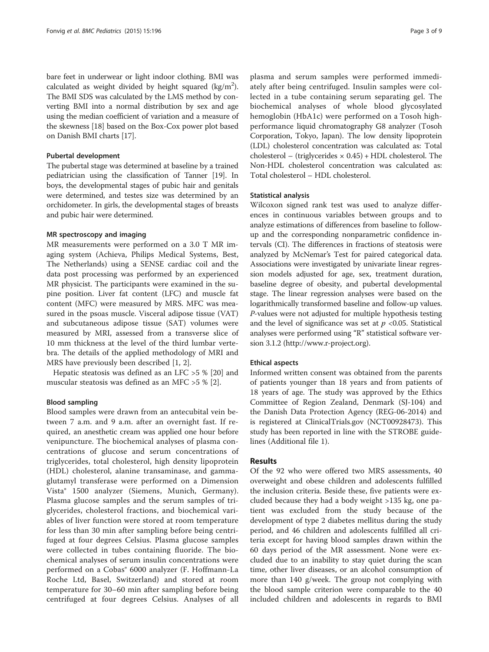bare feet in underwear or light indoor clothing. BMI was calculated as weight divided by height squared (kg/m<sup>2</sup>). The BMI SDS was calculated by the LMS method by converting BMI into a normal distribution by sex and age using the median coefficient of variation and a measure of the skewness [[18](#page-8-0)] based on the Box-Cox power plot based on Danish BMI charts [\[17\]](#page-8-0).

#### Pubertal development

The pubertal stage was determined at baseline by a trained pediatrician using the classification of Tanner [[19](#page-8-0)]. In boys, the developmental stages of pubic hair and genitals were determined, and testes size was determined by an orchidometer. In girls, the developmental stages of breasts and pubic hair were determined.

#### MR spectroscopy and imaging

MR measurements were performed on a 3.0 T MR imaging system (Achieva, Philips Medical Systems, Best, The Netherlands) using a SENSE cardiac coil and the data post processing was performed by an experienced MR physicist. The participants were examined in the supine position. Liver fat content (LFC) and muscle fat content (MFC) were measured by MRS. MFC was measured in the psoas muscle. Visceral adipose tissue (VAT) and subcutaneous adipose tissue (SAT) volumes were measured by MRI, assessed from a transverse slice of 10 mm thickness at the level of the third lumbar vertebra. The details of the applied methodology of MRI and MRS have previously been described [\[1, 2\]](#page-7-0).

Hepatic steatosis was defined as an LFC >5 % [\[20](#page-8-0)] and muscular steatosis was defined as an MFC >5 % [\[2](#page-7-0)].

#### Blood sampling

Blood samples were drawn from an antecubital vein between 7 a.m. and 9 a.m. after an overnight fast. If required, an anesthetic cream was applied one hour before venipuncture. The biochemical analyses of plasma concentrations of glucose and serum concentrations of triglycerides, total cholesterol, high density lipoprotein (HDL) cholesterol, alanine transaminase, and gammaglutamyl transferase were performed on a Dimension Vista® 1500 analyzer (Siemens, Munich, Germany). Plasma glucose samples and the serum samples of triglycerides, cholesterol fractions, and biochemical variables of liver function were stored at room temperature for less than 30 min after sampling before being centrifuged at four degrees Celsius. Plasma glucose samples were collected in tubes containing fluoride. The biochemical analyses of serum insulin concentrations were performed on a Cobas® 6000 analyzer (F. Hoffmann-La Roche Ltd, Basel, Switzerland) and stored at room temperature for 30–60 min after sampling before being centrifuged at four degrees Celsius. Analyses of all

plasma and serum samples were performed immediately after being centrifuged. Insulin samples were collected in a tube containing serum separating gel. The biochemical analyses of whole blood glycosylated hemoglobin (HbA1c) were performed on a Tosoh highperformance liquid chromatography G8 analyzer (Tosoh Corporation, Tokyo, Japan). The low density lipoprotein (LDL) cholesterol concentration was calculated as: Total cholesterol – (triglycerides  $\times$  0.45) + HDL cholesterol. The Non-HDL cholesterol concentration was calculated as: Total cholesterol – HDL cholesterol.

#### Statistical analysis

Wilcoxon signed rank test was used to analyze differences in continuous variables between groups and to analyze estimations of differences from baseline to followup and the corresponding nonparametric confidence intervals (CI). The differences in fractions of steatosis were analyzed by McNemar's Test for paired categorical data. Associations were investigated by univariate linear regression models adjusted for age, sex, treatment duration, baseline degree of obesity, and pubertal developmental stage. The linear regression analyses were based on the logarithmically transformed baseline and follow-up values. P-values were not adjusted for multiple hypothesis testing and the level of significance was set at  $p < 0.05$ . Statistical analyses were performed using "R" statistical software version 3.1.2 [\(http://www.r-project.org](http://www.r-project.org)).

#### Ethical aspects

Informed written consent was obtained from the parents of patients younger than 18 years and from patients of 18 years of age. The study was approved by the Ethics Committee of Region Zealand, Denmark (SJ-104) and the Danish Data Protection Agency (REG-06-2014) and is registered at ClinicalTrials.gov ([NCT00928473\)](http://www.clinicaltrials.gov/NCT00928473). This study has been reported in line with the STROBE guidelines (Additional file [1\)](#page-7-0).

#### Results

Of the 92 who were offered two MRS assessments, 40 overweight and obese children and adolescents fulfilled the inclusion criteria. Beside these, five patients were excluded because they had a body weight >135 kg, one patient was excluded from the study because of the development of type 2 diabetes mellitus during the study period, and 46 children and adolescents fulfilled all criteria except for having blood samples drawn within the 60 days period of the MR assessment. None were excluded due to an inability to stay quiet during the scan time, other liver diseases, or an alcohol consumption of more than 140 g/week. The group not complying with the blood sample criterion were comparable to the 40 included children and adolescents in regards to BMI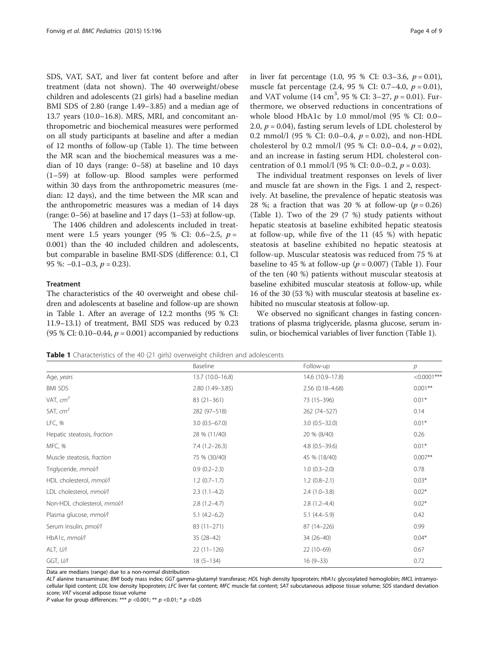SDS, VAT, SAT, and liver fat content before and after treatment (data not shown). The 40 overweight/obese children and adolescents (21 girls) had a baseline median BMI SDS of 2.80 (range 1.49–3.85) and a median age of 13.7 years (10.0–16.8). MRS, MRI, and concomitant anthropometric and biochemical measures were performed on all study participants at baseline and after a median of 12 months of follow-up (Table 1). The time between the MR scan and the biochemical measures was a median of 10 days (range: 0–58) at baseline and 10 days (1–59) at follow-up. Blood samples were performed within 30 days from the anthropometric measures (median: 12 days), and the time between the MR scan and the anthropometric measures was a median of 14 days (range: 0–56) at baseline and 17 days (1–53) at follow-up.

The 1406 children and adolescents included in treatment were 1.5 years younger (95 % CI: 0.6–2.5,  $p =$ 0.001) than the 40 included children and adolescents, but comparable in baseline BMI-SDS (difference: 0.1, CI 95 %:  $-0.1-0.3$ ,  $p = 0.23$ ).

#### **Treatment**

The characteristics of the 40 overweight and obese children and adolescents at baseline and follow-up are shown in Table 1. After an average of 12.2 months (95 % CI: 11.9–13.1) of treatment, BMI SDS was reduced by 0.23 (95 % CI: 0.10–0.44,  $p = 0.001$ ) accompanied by reductions in liver fat percentage  $(1.0, 95 %$  CI: 0.3–3.6,  $p = 0.01$ ), muscle fat percentage  $(2.4, 95 % CI: 0.7-4.0, p = 0.01)$ , and VAT volume (14 cm<sup>3</sup>, 95 % CI: 3–27,  $p = 0.01$ ). Furthermore, we observed reductions in concentrations of whole blood HbA1c by 1.0 mmol/mol (95 % CI: 0.0– 2.0,  $p = 0.04$ ), fasting serum levels of LDL cholesterol by 0.2 mmol/l (95 % CI: 0.0–0.4,  $p = 0.02$ ), and non-HDL cholesterol by 0.2 mmol/l (95 % CI: 0.0–0.4,  $p = 0.02$ ), and an increase in fasting serum HDL cholesterol concentration of 0.1 mmol/l (95 % CI: 0.0–0.2,  $p = 0.03$ ).

The individual treatment responses on levels of liver and muscle fat are shown in the Figs. [1](#page-4-0) and [2](#page-5-0), respectively. At baseline, the prevalence of hepatic steatosis was 28 %; a fraction that was 20 % at follow-up ( $p = 0.26$ ) (Table 1). Two of the 29 (7 %) study patients without hepatic steatosis at baseline exhibited hepatic steatosis at follow-up, while five of the 11 (45 %) with hepatic steatosis at baseline exhibited no hepatic steatosis at follow-up. Muscular steatosis was reduced from 75 % at baseline to 45 % at follow-up ( $p = 0.007$ ) (Table 1). Four of the ten (40 %) patients without muscular steatosis at baseline exhibited muscular steatosis at follow-up, while 16 of the 30 (53 %) with muscular steatosis at baseline exhibited no muscular steatosis at follow-up.

We observed no significant changes in fasting concentrations of plasma triglyceride, plasma glucose, serum insulin, or biochemical variables of liver function (Table 1).

Table 1 Characteristics of the 40 (21 girls) overweight children and adolescents

|                             | Baseline          | Follow-up         | $\overline{p}$ |
|-----------------------------|-------------------|-------------------|----------------|
| Age, years                  | 13.7 (10.0-16.8)  | 14.6 (10.9-17.8)  | $<0.0001***$   |
| <b>BMI SDS</b>              | 2.80 (1.49-3.85)  | 2.56 (0.18-4.68)  | $0.001**$      |
| VAT, $cm3$                  | $83(21-361)$      | 73 (15-396)       | $0.01*$        |
| SAT, $cm3$                  | 282 (97-518)      | 262 (74-527)      | 0.14           |
| LFC, %                      | $3.0(0.5 - 67.0)$ | $3.0(0.5 - 32.0)$ | $0.01*$        |
| Hepatic steatosis, fraction | 28 % (11/40)      | 20 % (8/40)       | 0.26           |
| MFC, %                      | $7.4(1.2-26.3)$   | $4.8(0.5 - 39.6)$ | $0.01*$        |
| Muscle steatosis, fraction  | 75 % (30/40)      | 45 % (18/40)      | $0.007**$      |
| Triglyceride, mmol/l        | $0.9(0.2 - 2.3)$  | $1.0(0.3-2.0)$    | 0.78           |
| HDL cholesterol, mmol/l     | $1.2(0.7-1.7)$    | $1.2(0.8-2.1)$    | $0.03*$        |
| LDL cholesterol, mmol/l     | $2.3(1.1-4.2)$    | $2.4(1.0-3.8)$    | $0.02*$        |
| Non-HDL cholesterol, mmol/l | $2.8(1.2 - 4.7)$  | $2.8(1.2 - 4.4)$  | $0.02*$        |
| Plasma glucose, mmol/l      | $5.1(4.2-6.2)$    | $5.1(4.4-5.9)$    | 0.42           |
| Serum insulin, pmol/l       | $83(11-271)$      | 87 (14-226)       | 0.99           |
| HbA1c, mmol/l               | $35(28-42)$       | 34 (26-40)        | $0.04*$        |
| ALT, U/I                    | $22(11-126)$      | $22(10-69)$       | 0.67           |
| GGT, U/I                    | $18(5 - 134)$     | $16(9-33)$        | 0.72           |

Data are medians (range) due to a non-normal distribution

ALT alanine transaminase; BMI body mass index; GGT gamma-glutamyl transferase; HDL high density lipoprotein; HbA1c glycosylated hemoglobin; IMCL intramyocellular lipid content; LDL low density lipoprotein; LFC liver fat content; MFC muscle fat content; SAT subcutaneous adipose tissue volume; SDS standard deviation score; VAT visceral adipose tissue volume

P value for group differences: \*\*\*  $p$  <0.001; \*\*  $p$  <0.01; \*  $p$  <0.05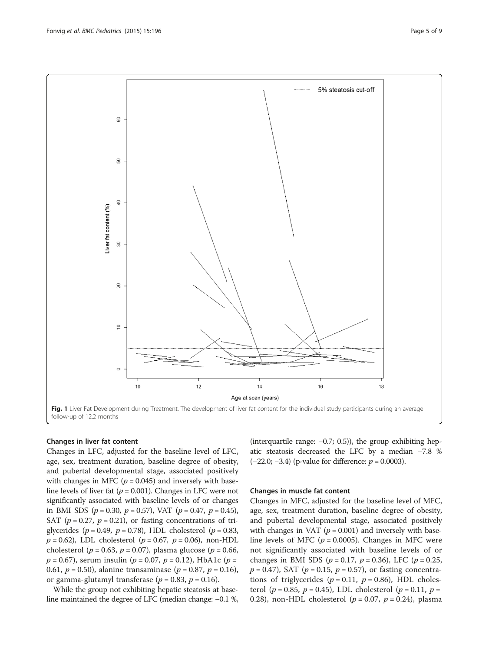<span id="page-4-0"></span>

#### Changes in liver fat content

Changes in LFC, adjusted for the baseline level of LFC, age, sex, treatment duration, baseline degree of obesity, and pubertal developmental stage, associated positively with changes in MFC ( $p = 0.045$ ) and inversely with baseline levels of liver fat ( $p = 0.001$ ). Changes in LFC were not significantly associated with baseline levels of or changes in BMI SDS ( $p = 0.30$ ,  $p = 0.57$ ), VAT ( $p = 0.47$ ,  $p = 0.45$ ), SAT ( $p = 0.27$ ,  $p = 0.21$ ), or fasting concentrations of triglycerides ( $p = 0.49$ ,  $p = 0.78$ ), HDL cholesterol ( $p = 0.83$ ,  $p = 0.62$ ), LDL cholesterol ( $p = 0.67$ ,  $p = 0.06$ ), non-HDL cholesterol ( $p = 0.63$ ,  $p = 0.07$ ), plasma glucose ( $p = 0.66$ ,  $p = 0.67$ ), serum insulin ( $p = 0.07$ ,  $p = 0.12$ ), HbA1c ( $p =$ 0.61,  $p = 0.50$ ), alanine transaminase ( $p = 0.87$ ,  $p = 0.16$ ), or gamma-glutamyl transferase ( $p = 0.83$ ,  $p = 0.16$ ).

While the group not exhibiting hepatic steatosis at baseline maintained the degree of LFC (median change: −0.1 %,

(interquartile range: −0.7; 0.5)), the group exhibiting hepatic steatosis decreased the LFC by a median −7.8 % (−22.0; −3.4) (p-value for difference:  $p = 0.0003$ ).

#### Changes in muscle fat content

Changes in MFC, adjusted for the baseline level of MFC, age, sex, treatment duration, baseline degree of obesity, and pubertal developmental stage, associated positively with changes in VAT ( $p = 0.001$ ) and inversely with baseline levels of MFC ( $p = 0.0005$ ). Changes in MFC were not significantly associated with baseline levels of or changes in BMI SDS ( $p = 0.17$ ,  $p = 0.36$ ), LFC ( $p = 0.25$ ,  $p = 0.47$ ), SAT ( $p = 0.15$ ,  $p = 0.57$ ), or fasting concentrations of triglycerides ( $p = 0.11$ ,  $p = 0.86$ ), HDL cholesterol ( $p = 0.85$ ,  $p = 0.45$ ), LDL cholesterol ( $p = 0.11$ ,  $p =$ 0.28), non-HDL cholesterol ( $p = 0.07$ ,  $p = 0.24$ ), plasma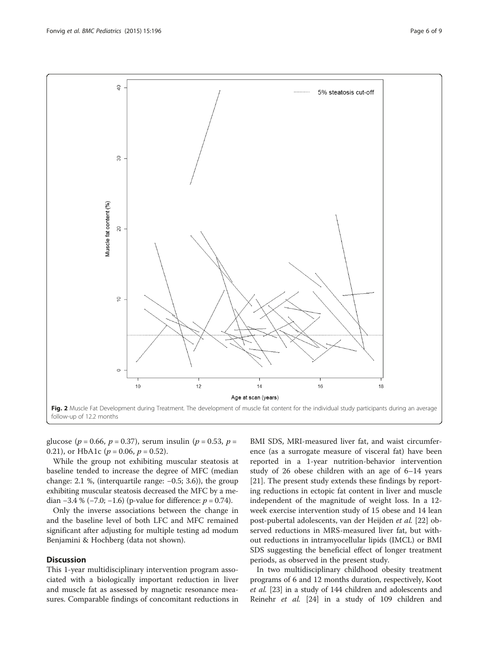<span id="page-5-0"></span>

glucose ( $p = 0.66$ ,  $p = 0.37$ ), serum insulin ( $p = 0.53$ ,  $p =$ 0.21), or HbA1c ( $p = 0.06$ ,  $p = 0.52$ ).

While the group not exhibiting muscular steatosis at baseline tended to increase the degree of MFC (median change:  $2.1$  %, (interquartile range:  $-0.5$ ; 3.6)), the group exhibiting muscular steatosis decreased the MFC by a median  $-3.4$  % ( $-7.0$ ;  $-1.6$ ) (p-value for difference:  $p = 0.74$ ).

Only the inverse associations between the change in and the baseline level of both LFC and MFC remained significant after adjusting for multiple testing ad modum Benjamini & Hochberg (data not shown).

#### **Discussion**

This 1-year multidisciplinary intervention program associated with a biologically important reduction in liver and muscle fat as assessed by magnetic resonance measures. Comparable findings of concomitant reductions in BMI SDS, MRI-measured liver fat, and waist circumference (as a surrogate measure of visceral fat) have been reported in a 1-year nutrition-behavior intervention study of 26 obese children with an age of 6–14 years [[21\]](#page-8-0). The present study extends these findings by reporting reductions in ectopic fat content in liver and muscle independent of the magnitude of weight loss. In a 12 week exercise intervention study of 15 obese and 14 lean post-pubertal adolescents, van der Heijden et al. [[22\]](#page-8-0) observed reductions in MRS-measured liver fat, but without reductions in intramyocellular lipids (IMCL) or BMI SDS suggesting the beneficial effect of longer treatment periods, as observed in the present study.

In two multidisciplinary childhood obesity treatment programs of 6 and 12 months duration, respectively, Koot et al. [[23](#page-8-0)] in a study of 144 children and adolescents and Reinehr et al. [[24\]](#page-8-0) in a study of 109 children and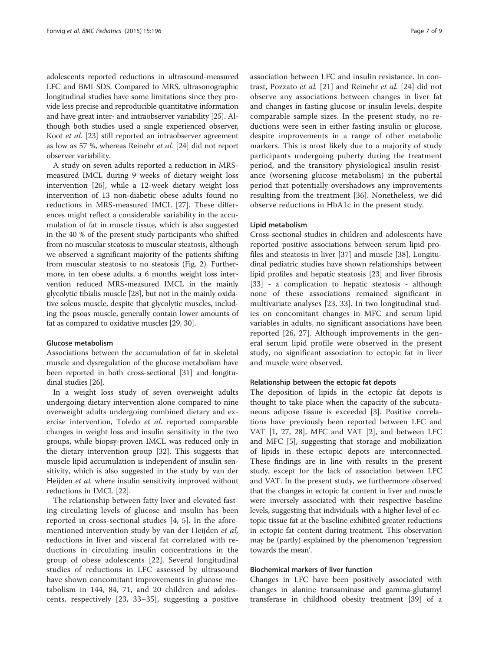adolescents reported reductions in ultrasound-measured LFC and BMI SDS. Compared to MRS, ultrasonographic longitudinal studies have some limitations since they provide less precise and reproducible quantitative information and have great inter- and intraobserver variability [\[25\]](#page-8-0). Although both studies used a single experienced observer, Koot et al. [\[23\]](#page-8-0) still reported an intraobserver agreement as low as 57 %, whereas Reinehr et al. [\[24](#page-8-0)] did not report observer variability.

A study on seven adults reported a reduction in MRSmeasured IMCL during 9 weeks of dietary weight loss intervention [\[26\]](#page-8-0), while a 12-week dietary weight loss intervention of 13 non-diabetic obese adults found no reductions in MRS-measured IMCL [\[27\]](#page-8-0). These differences might reflect a considerable variability in the accumulation of fat in muscle tissue, which is also suggested in the 40 % of the present study participants who shifted from no muscular steatosis to muscular steatosis, although we observed a significant majority of the patients shifting from muscular steatosis to no steatosis (Fig. [2](#page-5-0)). Furthermore, in ten obese adults, a 6 months weight loss intervention reduced MRS-measured IMCL in the mainly glycolytic tibialis muscle [[28](#page-8-0)], but not in the mainly oxidative soleus muscle, despite that glycolytic muscles, including the psoas muscle, generally contain lower amounts of fat as compared to oxidative muscles [[29](#page-8-0), [30\]](#page-8-0).

#### Glucose metabolism

Associations between the accumulation of fat in skeletal muscle and dysregulation of the glucose metabolism have been reported in both cross-sectional [[31](#page-8-0)] and longitudinal studies [\[26](#page-8-0)].

In a weight loss study of seven overweight adults undergoing dietary intervention alone compared to nine overweight adults undergoing combined dietary and exercise intervention, Toledo et al. reported comparable changes in weight loss and insulin sensitivity in the two groups, while biopsy-proven IMCL was reduced only in the dietary intervention group [\[32](#page-8-0)]. This suggests that muscle lipid accumulation is independent of insulin sensitivity, which is also suggested in the study by van der Heijden et al. where insulin sensitivity improved without reductions in IMCL [\[22](#page-8-0)].

The relationship between fatty liver and elevated fasting circulating levels of glucose and insulin has been reported in cross-sectional studies [[4, 5\]](#page-8-0). In the aforementioned intervention study by van der Heijden et al, reductions in liver and visceral fat correlated with reductions in circulating insulin concentrations in the group of obese adolescents [[22\]](#page-8-0). Several longitudinal studies of reductions in LFC assessed by ultrasound have shown concomitant improvements in glucose metabolism in 144, 84, 71, and 20 children and adolescents, respectively [\[23](#page-8-0), [33](#page-8-0)–[35](#page-8-0)], suggesting a positive

association between LFC and insulin resistance. In contrast, Pozzato et al. [[21](#page-8-0)] and Reinehr et al. [[24\]](#page-8-0) did not observe any associations between changes in liver fat and changes in fasting glucose or insulin levels, despite comparable sample sizes. In the present study, no reductions were seen in either fasting insulin or glucose, despite improvements in a range of other metabolic markers. This is most likely due to a majority of study participants undergoing puberty during the treatment period, and the transitory physiological insulin resistance (worsening glucose metabolism) in the pubertal period that potentially overshadows any improvements resulting from the treatment [[36\]](#page-8-0). Nonetheless, we did observe reductions in HbA1c in the present study.

#### Lipid metabolism

Cross-sectional studies in children and adolescents have reported positive associations between serum lipid profiles and steatosis in liver [\[37](#page-8-0)] and muscle [[38\]](#page-8-0). Longitudinal pediatric studies have shown relationships between lipid profiles and hepatic steatosis [[23\]](#page-8-0) and liver fibrosis [[33\]](#page-8-0) - a complication to hepatic steatosis - although none of these associations remained significant in multivariate analyses [\[23](#page-8-0), [33](#page-8-0)]. In two longitudinal studies on concomitant changes in MFC and serum lipid variables in adults, no significant associations have been reported [[26, 27](#page-8-0)]. Although improvements in the general serum lipid profile were observed in the present study, no significant association to ectopic fat in liver and muscle were observed.

#### Relationship between the ectopic fat depots

The deposition of lipids in the ectopic fat depots is thought to take place when the capacity of the subcutaneous adipose tissue is exceeded [[3\]](#page-8-0). Positive correlations have previously been reported between LFC and VAT [\[1](#page-7-0), [27](#page-8-0), [28\]](#page-8-0), MFC and VAT [\[2](#page-7-0)], and between LFC and MFC [[5](#page-8-0)], suggesting that storage and mobilization of lipids in these ectopic depots are interconnected. These findings are in line with results in the present study, except for the lack of association between LFC and VAT. In the present study, we furthermore observed that the changes in ectopic fat content in liver and muscle were inversely associated with their respective baseline levels, suggesting that individuals with a higher level of ectopic tissue fat at the baseline exhibited greater reductions in ectopic fat content during treatment. This observation may be (partly) explained by the phenomenon 'regression towards the mean'.

#### Biochemical markers of liver function

Changes in LFC have been positively associated with changes in alanine transaminase and gamma-glutamyl transferase in childhood obesity treatment [[39](#page-8-0)] of a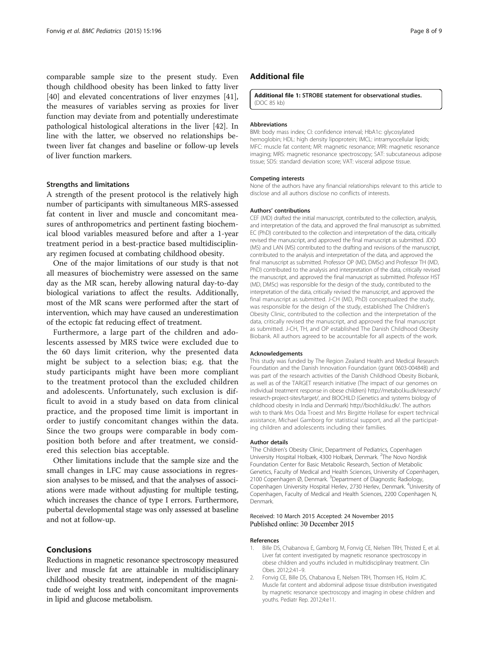<span id="page-7-0"></span>comparable sample size to the present study. Even though childhood obesity has been linked to fatty liver [[40\]](#page-8-0) and elevated concentrations of liver enzymes [\[41](#page-8-0)], the measures of variables serving as proxies for liver function may deviate from and potentially underestimate pathological histological alterations in the liver [\[42](#page-8-0)]. In line with the latter, we observed no relationships between liver fat changes and baseline or follow-up levels of liver function markers.

#### Strengths and limitations

A strength of the present protocol is the relatively high number of participants with simultaneous MRS-assessed fat content in liver and muscle and concomitant measures of anthropometrics and pertinent fasting biochemical blood variables measured before and after a 1-year treatment period in a best-practice based multidisciplinary regimen focused at combating childhood obesity.

One of the major limitations of our study is that not all measures of biochemistry were assessed on the same day as the MR scan, hereby allowing natural day-to-day biological variations to affect the results. Additionally, most of the MR scans were performed after the start of intervention, which may have caused an underestimation of the ectopic fat reducing effect of treatment.

Furthermore, a large part of the children and adolescents assessed by MRS twice were excluded due to the 60 days limit criterion, why the presented data might be subject to a selection bias; e.g. that the study participants might have been more compliant to the treatment protocol than the excluded children and adolescents. Unfortunately, such exclusion is difficult to avoid in a study based on data from clinical practice, and the proposed time limit is important in order to justify concomitant changes within the data. Since the two groups were comparable in body composition both before and after treatment, we considered this selection bias acceptable.

Other limitations include that the sample size and the small changes in LFC may cause associations in regression analyses to be missed, and that the analyses of associations were made without adjusting for multiple testing, which increases the chance of type I errors. Furthermore, pubertal developmental stage was only assessed at baseline and not at follow-up.

#### Conclusions

Reductions in magnetic resonance spectroscopy measured liver and muscle fat are attainable in multidisciplinary childhood obesity treatment, independent of the magnitude of weight loss and with concomitant improvements in lipid and glucose metabolism.

#### Additional file

[Additional file 1:](dx.doi.org/10.1186/s12887-015-0513-6) STROBE statement for observational studies. (DOC 85 kb)

#### Abbreviations

BMI: body mass index; CI: confidence interval; HbA1c: glycosylated hemoglobin; HDL: high density lipoprotein; IMCL: intramyocellular lipids; MFC: muscle fat content; MR: magnetic resonance; MRI: magnetic resonance imaging; MRS: magnetic resonance spectroscopy; SAT: subcutaneous adipose tissue; SDS: standard deviation score; VAT: visceral adipose tissue.

#### Competing interests

None of the authors have any financial relationships relevant to this article to disclose and all authors disclose no conflicts of interests.

#### Authors' contributions

CEE (MD) drafted the initial manuscript, contributed to the collection, analysis, and interpretation of the data, and approved the final manuscript as submitted. EC (PhD) contributed to the collection and interpretation of the data, critically revised the manuscript, and approved the final manuscript as submitted. JDO (MS) and LAN (MS) contributed to the drafting and revisions of the manuscript, contributed to the analysis and interpretation of the data, and approved the final manuscript as submitted. Professor OP (MD, DMSc) and Professor TH (MD, PhD) contributed to the analysis and interpretation of the data, critically revised the manuscript, and approved the final manuscript as submitted. Professor HST (MD, DMSc) was responsible for the design of the study, contributed to the interpretation of the data, critically revised the manuscript, and approved the final manuscript as submitted. J-CH (MD, PhD) conceptualized the study, was responsible for the design of the study, established The Children's Obesity Clinic, contributed to the collection and the interpretation of the data, critically revised the manuscript, and approved the final manuscript as submitted. J-CH, TH, and OP established The Danish Childhood Obesity Biobank. All authors agreed to be accountable for all aspects of the work.

#### Acknowledgements

This study was funded by The Region Zealand Health and Medical Research Foundation and the Danish Innovation Foundation (grant 0603-00484B) and was part of the research activities of the Danish Childhood Obesity Biobank, as well as of the TARGET research initiative (The impact of our genomes on individual treatment response in obese children) [http://metabol.ku.dk/research/](http://metabol.ku.dk/research/research-project-sites/target/) [research-project-sites/target/](http://metabol.ku.dk/research/research-project-sites/target/), and BIOCHILD (Genetics and systems biology of childhood obesity in India and Denmark) [http://biochild.ku.dk/.](http://biochild.ku.dk/) The authors wish to thank Mrs Oda Troest and Mrs Birgitte Holløse for expert technical assistance, Michael Gamborg for statistical support, and all the participating children and adolescents including their families.

#### Author details

<sup>1</sup>The Children's Obesity Clinic, Department of Pediatrics, Copenhagen University Hospital Holbæk, 4300 Holbæk, Denmark. <sup>2</sup>The Novo Nordisk Foundation Center for Basic Metabolic Research, Section of Metabolic Genetics, Faculty of Medical and Health Sciences, University of Copenhagen, 2100 Copenhagen Ø, Denmark. <sup>3</sup>Department of Diagnostic Radiology, Copenhagen University Hospital Herlev, 2730 Herlev, Denmark. <sup>4</sup>University of Copenhagen, Faculty of Medical and Health Sciences, 2200 Copenhagen N, Denmark.

#### Received: 10 March 2015 Accepted: 24 November 2015 Published online: 30 December 2015

#### References

- 1. Bille DS, Chabanova E, Gamborg M, Fonvig CE, Nielsen TRH, Thisted E, et al. Liver fat content investigated by magnetic resonance spectroscopy in obese children and youths included in multidisciplinary treatment. Clin Obes. 2012;2:41–9.
- 2. Fonvig CE, Bille DS, Chabanova E, Nielsen TRH, Thomsen HS, Holm JC. Muscle fat content and abdominal adipose tissue distribution investigated by magnetic resonance spectroscopy and imaging in obese children and youths. Pediatr Rep. 2012;4:e11.